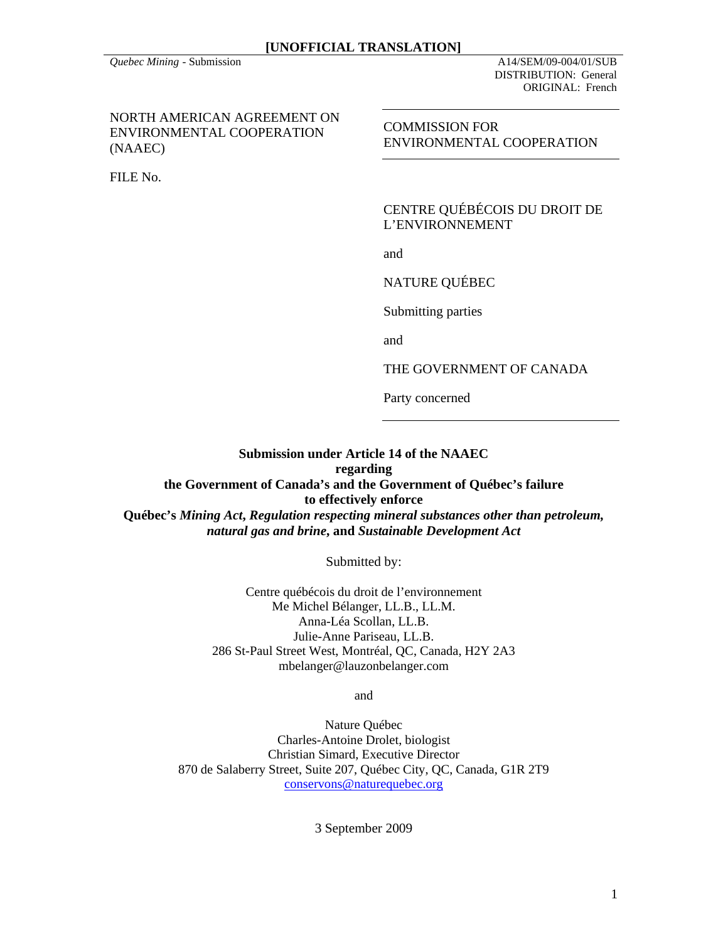*Quebec Mining* - Submission A14/SEM/09-004/01/SUB DISTRIBUTION: General ORIGINAL: French

NORTH AMERICAN AGREEMENT ON ENVIRONMENTAL COOPERATION (NAAEC)

FILE No.

COMMISSION FOR ENVIRONMENTAL COOPERATION

CENTRE QUÉBÉCOIS DU DROIT DE L'ENVIRONNEMENT

and

NATURE QUÉBEC

Submitting parties

and

THE GOVERNMENT OF CANADA

Party concerned

### **Submission under Article 14 of the NAAEC regarding**

**the Government of Canada's and the Government of Québec's failure to effectively enforce Québec's** *Mining Act***,** *Regulation respecting mineral substances other than petroleum, natural gas and brine***, and** *Sustainable Development Act*

Submitted by:

Centre québécois du droit de l'environnement Me Michel Bélanger, LL.B., LL.M. Anna-Léa Scollan, LL.B. Julie-Anne Pariseau, LL.B. 286 St-Paul Street West, Montréal, QC, Canada, H2Y 2A3 mbelanger@lauzonbelanger.com

and

Nature Québec Charles-Antoine Drolet, biologist Christian Simard, Executive Director 870 de Salaberry Street, Suite 207, Québec City, QC, Canada, G1R 2T9 conservons@naturequebec.org

3 September 2009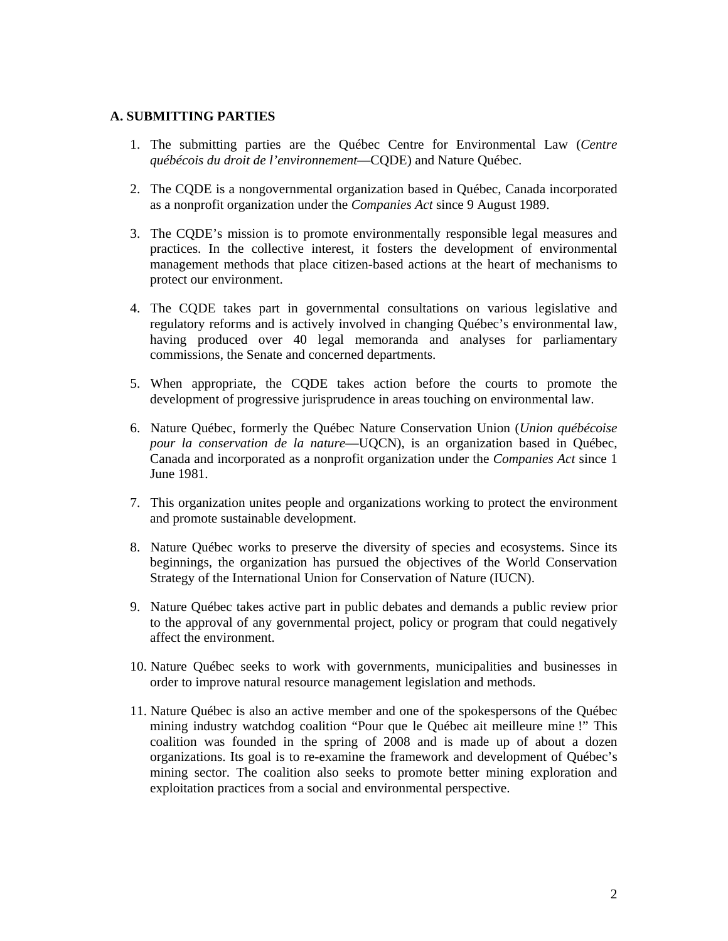### **A. SUBMITTING PARTIES**

- 1. The submitting parties are the Québec Centre for Environmental Law (*Centre québécois du droit de l'environnement*—CQDE) and Nature Québec.
- 2. The CQDE is a nongovernmental organization based in Québec, Canada incorporated as a nonprofit organization under the *Companies Act* since 9 August 1989.
- 3. The CQDE's mission is to promote environmentally responsible legal measures and practices. In the collective interest, it fosters the development of environmental management methods that place citizen-based actions at the heart of mechanisms to protect our environment.
- 4. The CQDE takes part in governmental consultations on various legislative and regulatory reforms and is actively involved in changing Québec's environmental law, having produced over 40 legal memoranda and analyses for parliamentary commissions, the Senate and concerned departments.
- 5. When appropriate, the CQDE takes action before the courts to promote the development of progressive jurisprudence in areas touching on environmental law.
- 6. Nature Québec, formerly the Québec Nature Conservation Union (*Union québécoise pour la conservation de la nature*—UQCN), is an organization based in Québec, Canada and incorporated as a nonprofit organization under the *Companies Act* since 1 June 1981.
- 7. This organization unites people and organizations working to protect the environment and promote sustainable development.
- 8. Nature Québec works to preserve the diversity of species and ecosystems. Since its beginnings, the organization has pursued the objectives of the World Conservation Strategy of the International Union for Conservation of Nature (IUCN).
- 9. Nature Québec takes active part in public debates and demands a public review prior to the approval of any governmental project, policy or program that could negatively affect the environment.
- 10. Nature Québec seeks to work with governments, municipalities and businesses in order to improve natural resource management legislation and methods.
- 11. Nature Québec is also an active member and one of the spokespersons of the Québec mining industry watchdog coalition "Pour que le Québec ait meilleure mine !" This coalition was founded in the spring of 2008 and is made up of about a dozen organizations. Its goal is to re-examine the framework and development of Québec's mining sector. The coalition also seeks to promote better mining exploration and exploitation practices from a social and environmental perspective.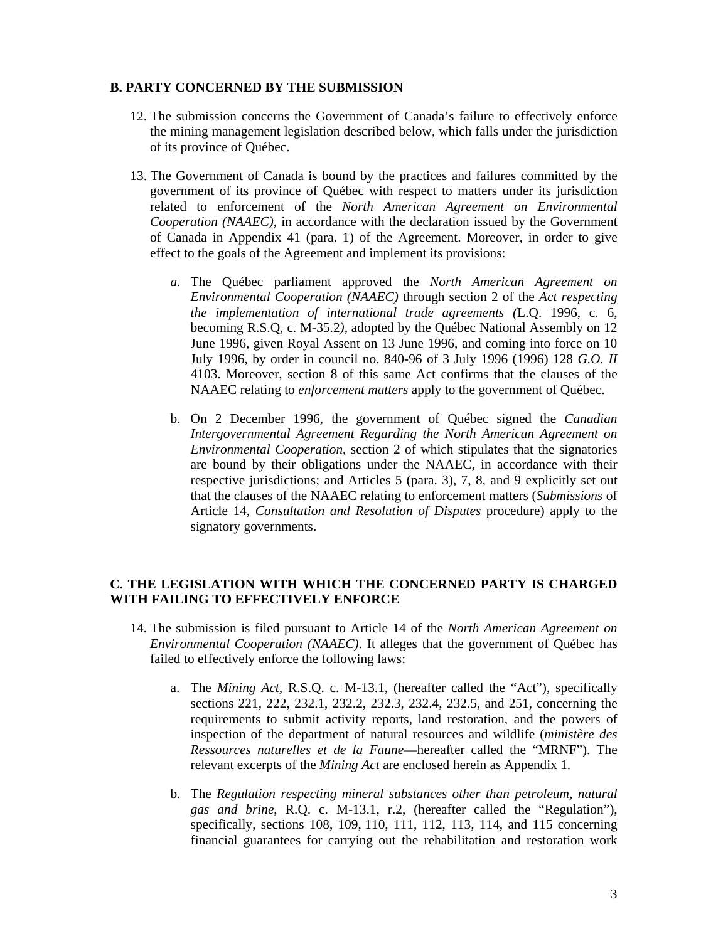### **B. PARTY CONCERNED BY THE SUBMISSION**

- 12. The submission concerns the Government of Canada's failure to effectively enforce the mining management legislation described below, which falls under the jurisdiction of its province of Québec.
- 13. The Government of Canada is bound by the practices and failures committed by the government of its province of Québec with respect to matters under its jurisdiction related to enforcement of the *North American Agreement on Environmental Cooperation (NAAEC)*, in accordance with the declaration issued by the Government of Canada in Appendix 41 (para. 1) of the Agreement. Moreover, in order to give effect to the goals of the Agreement and implement its provisions:
	- *a.* The Québec parliament approved the *North American Agreement on Environmental Cooperation (NAAEC)* through section 2 of the *Act respecting the implementation of international trade agreements (*L.Q. 1996, c. 6, becoming R.S.Q, c. M-35.2*),* adopted by the Québec National Assembly on 12 June 1996, given Royal Assent on 13 June 1996, and coming into force on 10 July 1996, by order in council no. 840-96 of 3 July 1996 (1996) 128 *G.O. II*  4103. Moreover, section 8 of this same Act confirms that the clauses of the NAAEC relating to *enforcement matters* apply to the government of Québec.
	- b. On 2 December 1996, the government of Québec signed the *Canadian Intergovernmental Agreement Regarding the North American Agreement on Environmental Cooperation*, section 2 of which stipulates that the signatories are bound by their obligations under the NAAEC, in accordance with their respective jurisdictions; and Articles 5 (para. 3), 7, 8, and 9 explicitly set out that the clauses of the NAAEC relating to enforcement matters (*Submissions* of Article 14, *Consultation and Resolution of Disputes* procedure) apply to the signatory governments.

# **C. THE LEGISLATION WITH WHICH THE CONCERNED PARTY IS CHARGED WITH FAILING TO EFFECTIVELY ENFORCE**

- 14. The submission is filed pursuant to Article 14 of the *North American Agreement on Environmental Cooperation (NAAEC)*. It alleges that the government of Québec has failed to effectively enforce the following laws:
	- a. The *Mining Act*, R.S.Q. c. M-13.1, (hereafter called the "Act"), specifically sections 221, 222, 232.1, 232.2, 232.3, 232.4, 232.5, and 251, concerning the requirements to submit activity reports, land restoration, and the powers of inspection of the department of natural resources and wildlife (*ministère des Ressources naturelles et de la Faune*—hereafter called the "MRNF"). The relevant excerpts of the *Mining Act* are enclosed herein as Appendix 1.
	- b. The *Regulation respecting mineral substances other than petroleum, natural gas and brine*, R.Q. c. M-13.1, r.2, (hereafter called the "Regulation"), specifically, sections 108, 109, 110, 111, 112, 113, 114, and 115 concerning financial guarantees for carrying out the rehabilitation and restoration work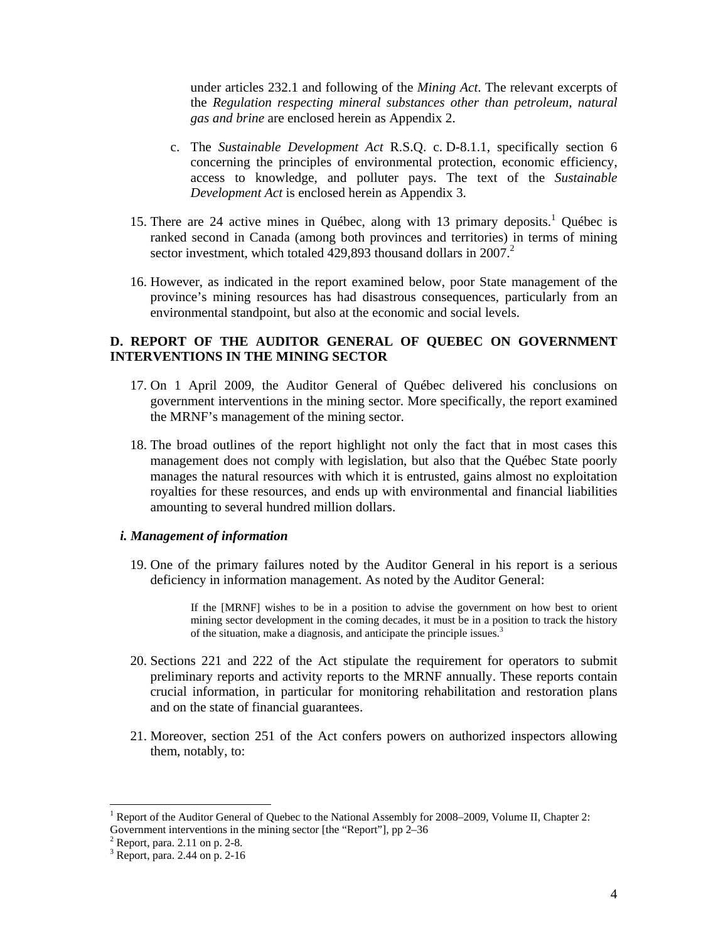under articles 232.1 and following of the *Mining Act*. The relevant excerpts of the *Regulation respecting mineral substances other than petroleum, natural gas and brine* are enclosed herein as Appendix 2.

- c. The *Sustainable Development Act* R.S.Q. c. D-8.1.1, specifically section 6 concerning the principles of environmental protection, economic efficiency, access to knowledge, and polluter pays. The text of the *Sustainable Development Act* is enclosed herein as Appendix 3.
- 15. There are 24 active mines in Québec, along with 13 primary deposits.<sup>1</sup> Québec is ranked second in Canada (among both provinces and territories) in terms of mining sector investment, which totaled  $429,893$  thousand dollars in 2007.<sup>2</sup>
- 16. However, as indicated in the report examined below, poor State management of the province's mining resources has had disastrous consequences, particularly from an environmental standpoint, but also at the economic and social levels.

# **D. REPORT OF THE AUDITOR GENERAL OF QUEBEC ON GOVERNMENT INTERVENTIONS IN THE MINING SECTOR**

- 17. On 1 April 2009, the Auditor General of Québec delivered his conclusions on government interventions in the mining sector. More specifically, the report examined the MRNF's management of the mining sector.
- 18. The broad outlines of the report highlight not only the fact that in most cases this management does not comply with legislation, but also that the Québec State poorly manages the natural resources with which it is entrusted, gains almost no exploitation royalties for these resources, and ends up with environmental and financial liabilities amounting to several hundred million dollars.

## *i. Management of information*

19. One of the primary failures noted by the Auditor General in his report is a serious deficiency in information management. As noted by the Auditor General:

> If the [MRNF] wishes to be in a position to advise the government on how best to orient mining sector development in the coming decades, it must be in a position to track the history of the situation, make a diagnosis, and anticipate the principle issues.<sup>3</sup>

- 20. Sections 221 and 222 of the Act stipulate the requirement for operators to submit preliminary reports and activity reports to the MRNF annually. These reports contain crucial information, in particular for monitoring rehabilitation and restoration plans and on the state of financial guarantees.
- 21. Moreover, section 251 of the Act confers powers on authorized inspectors allowing them, notably, to:

<sup>&</sup>lt;sup>1</sup> Report of the Auditor General of Quebec to the National Assembly for 2008–2009, Volume II, Chapter 2: Government interventions in the mining sector [the "Report"], pp 2–36

 $2^2$  Report, para. 2.11 on p. 2-8.

<sup>3</sup> Report, para. 2.44 on p. 2-16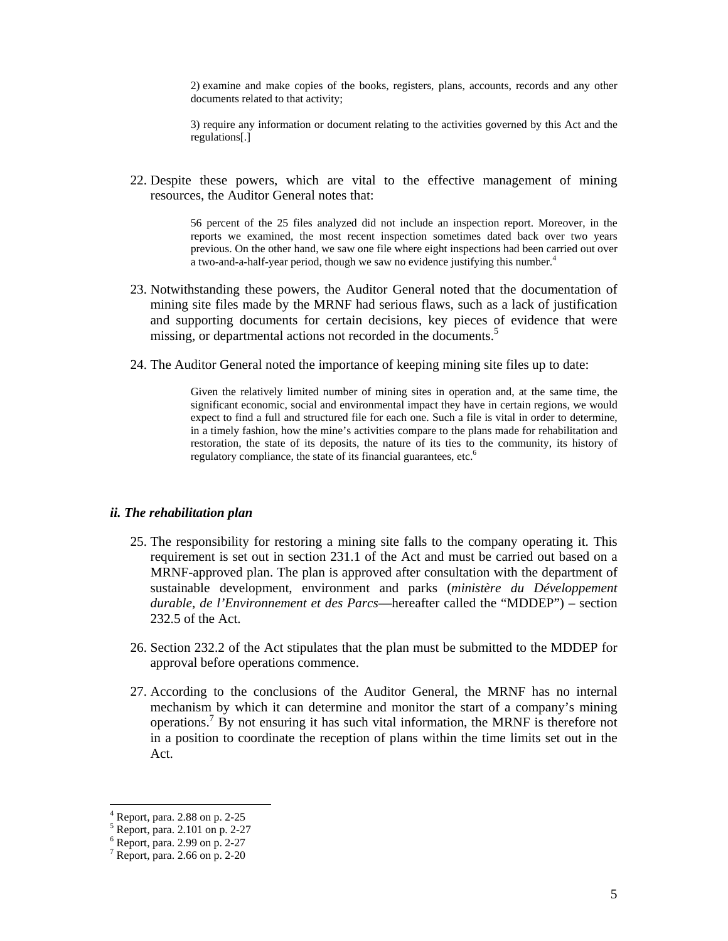2) examine and make copies of the books, registers, plans, accounts, records and any other documents related to that activity;

3) require any information or document relating to the activities governed by this Act and the regulations[.]

22. Despite these powers, which are vital to the effective management of mining resources, the Auditor General notes that:

> 56 percent of the 25 files analyzed did not include an inspection report. Moreover, in the reports we examined, the most recent inspection sometimes dated back over two years previous. On the other hand, we saw one file where eight inspections had been carried out over a two-and-a-half-year period, though we saw no evidence justifying this number.<sup>4</sup>

- 23. Notwithstanding these powers, the Auditor General noted that the documentation of mining site files made by the MRNF had serious flaws, such as a lack of justification and supporting documents for certain decisions, key pieces of evidence that were missing, or departmental actions not recorded in the documents.<sup>5</sup>
- 24. The Auditor General noted the importance of keeping mining site files up to date:

Given the relatively limited number of mining sites in operation and, at the same time, the significant economic, social and environmental impact they have in certain regions, we would expect to find a full and structured file for each one. Such a file is vital in order to determine, in a timely fashion, how the mine's activities compare to the plans made for rehabilitation and restoration, the state of its deposits, the nature of its ties to the community, its history of regulatory compliance, the state of its financial guarantees, etc.<sup>6</sup>

#### *ii. The rehabilitation plan*

- 25. The responsibility for restoring a mining site falls to the company operating it. This requirement is set out in section 231.1 of the Act and must be carried out based on a MRNF-approved plan. The plan is approved after consultation with the department of sustainable development, environment and parks (*ministère du Développement durable, de l'Environnement et des Parcs*—hereafter called the "MDDEP") – section 232.5 of the Act.
- 26. Section 232.2 of the Act stipulates that the plan must be submitted to the MDDEP for approval before operations commence.
- 27. According to the conclusions of the Auditor General, the MRNF has no internal mechanism by which it can determine and monitor the start of a company's mining operations.<sup>7</sup> By not ensuring it has such vital information, the MRNF is therefore not in a position to coordinate the reception of plans within the time limits set out in the Act.

<sup>4</sup> Report, para. 2.88 on p. 2-25

<sup>5</sup> Report, para. 2.101 on p. 2-27

<sup>6</sup> Report, para. 2.99 on p. 2-27

<sup>7</sup> Report, para. 2.66 on p. 2-20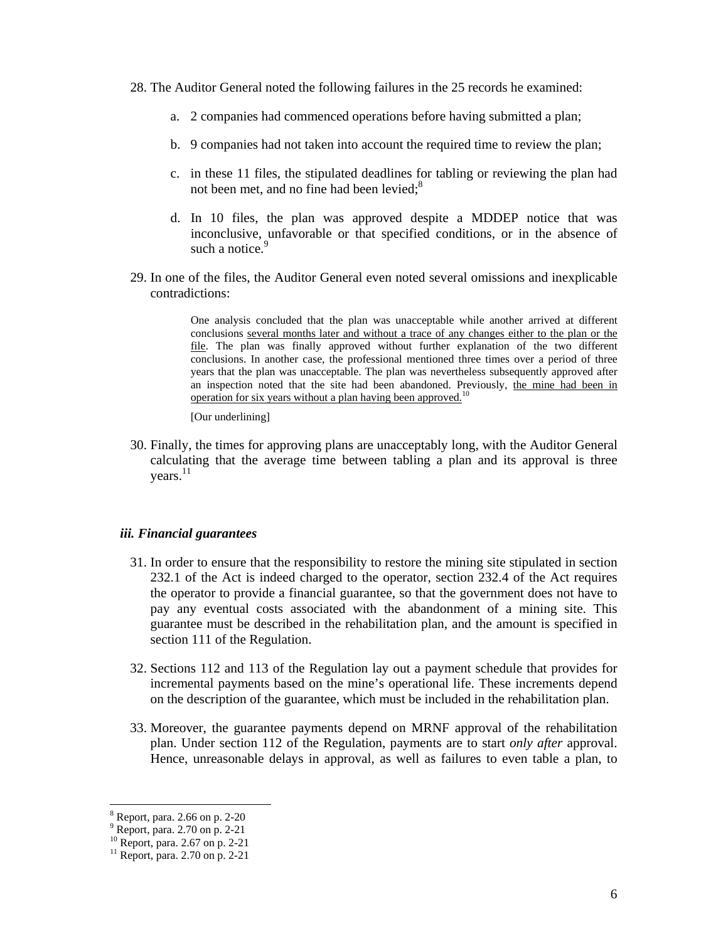- 28. The Auditor General noted the following failures in the 25 records he examined:
	- a. 2 companies had commenced operations before having submitted a plan;
	- b. 9 companies had not taken into account the required time to review the plan;
	- c. in these 11 files, the stipulated deadlines for tabling or reviewing the plan had not been met, and no fine had been levied; $8<sup>8</sup>$
	- d. In 10 files, the plan was approved despite a MDDEP notice that was inconclusive, unfavorable or that specified conditions, or in the absence of such a notice.<sup>9</sup>
- 29. In one of the files, the Auditor General even noted several omissions and inexplicable contradictions:

One analysis concluded that the plan was unacceptable while another arrived at different conclusions several months later and without a trace of any changes either to the plan or the file. The plan was finally approved without further explanation of the two different conclusions. In another case, the professional mentioned three times over a period of three years that the plan was unacceptable. The plan was nevertheless subsequently approved after an inspection noted that the site had been abandoned. Previously, the mine had been in operation for six years without a plan having been approved.<sup>10</sup>

[Our underlining]

30. Finally, the times for approving plans are unacceptably long, with the Auditor General calculating that the average time between tabling a plan and its approval is three years.<sup>11</sup>

### *iii. Financial guarantees*

- 31. In order to ensure that the responsibility to restore the mining site stipulated in section 232.1 of the Act is indeed charged to the operator, section 232.4 of the Act requires the operator to provide a financial guarantee, so that the government does not have to pay any eventual costs associated with the abandonment of a mining site. This guarantee must be described in the rehabilitation plan, and the amount is specified in section 111 of the Regulation.
- 32. Sections 112 and 113 of the Regulation lay out a payment schedule that provides for incremental payments based on the mine's operational life. These increments depend on the description of the guarantee, which must be included in the rehabilitation plan.
- 33. Moreover, the guarantee payments depend on MRNF approval of the rehabilitation plan. Under section 112 of the Regulation, payments are to start *only after* approval. Hence, unreasonable delays in approval, as well as failures to even table a plan, to

<sup>8</sup> Report, para. 2.66 on p. 2-20

<sup>9</sup> Report, para. 2.70 on p. 2-21

<sup>10</sup> Report, para. 2.67 on p. 2-21

 $11$  Report, para. 2.70 on p. 2-21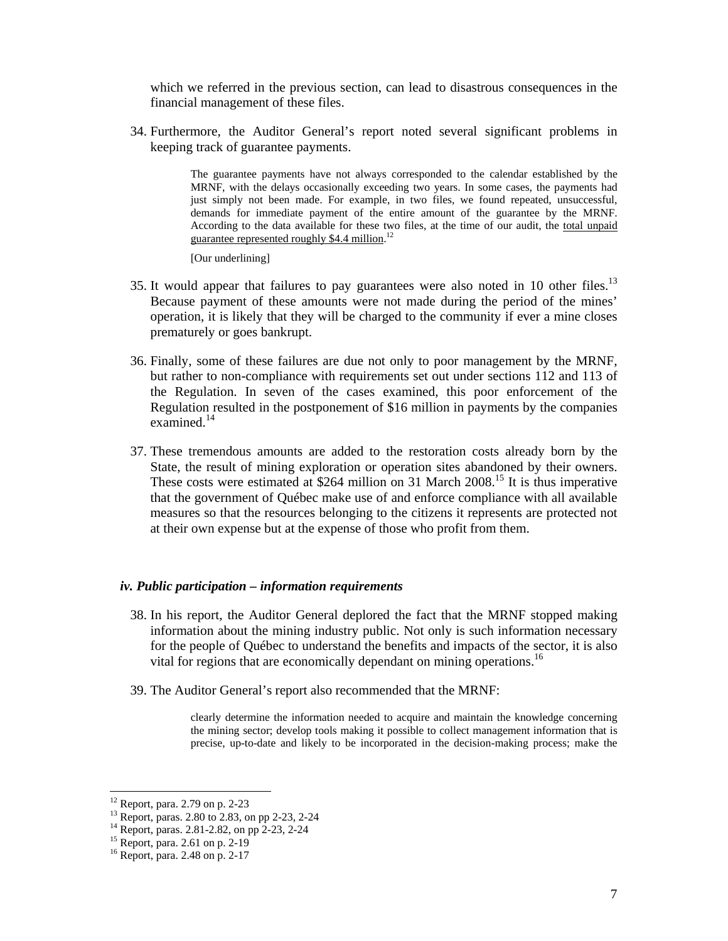which we referred in the previous section, can lead to disastrous consequences in the financial management of these files.

34. Furthermore, the Auditor General's report noted several significant problems in keeping track of guarantee payments.

> The guarantee payments have not always corresponded to the calendar established by the MRNF, with the delays occasionally exceeding two years. In some cases, the payments had just simply not been made. For example, in two files, we found repeated, unsuccessful, demands for immediate payment of the entire amount of the guarantee by the MRNF. According to the data available for these two files, at the time of our audit, the total unpaid guarantee represented roughly \$4.4 million.<sup>12</sup>

[Our underlining]

- 35. It would appear that failures to pay guarantees were also noted in 10 other files.<sup>13</sup> Because payment of these amounts were not made during the period of the mines' operation, it is likely that they will be charged to the community if ever a mine closes prematurely or goes bankrupt.
- 36. Finally, some of these failures are due not only to poor management by the MRNF, but rather to non-compliance with requirements set out under sections 112 and 113 of the Regulation. In seven of the cases examined, this poor enforcement of the Regulation resulted in the postponement of \$16 million in payments by the companies examined.<sup>14</sup>
- 37. These tremendous amounts are added to the restoration costs already born by the State, the result of mining exploration or operation sites abandoned by their owners. These costs were estimated at \$264 million on 31 March 2008.<sup>15</sup> It is thus imperative that the government of Québec make use of and enforce compliance with all available measures so that the resources belonging to the citizens it represents are protected not at their own expense but at the expense of those who profit from them.

#### *iv. Public participation – information requirements*

- 38. In his report, the Auditor General deplored the fact that the MRNF stopped making information about the mining industry public. Not only is such information necessary for the people of Québec to understand the benefits and impacts of the sector, it is also vital for regions that are economically dependant on mining operations.<sup>16</sup>
- 39. The Auditor General's report also recommended that the MRNF:

clearly determine the information needed to acquire and maintain the knowledge concerning the mining sector; develop tools making it possible to collect management information that is precise, up-to-date and likely to be incorporated in the decision-making process; make the

<sup>12</sup> Report, para. 2.79 on p. 2-23

<sup>13</sup> Report, paras. 2.80 to 2.83, on pp 2-23, 2-24

<sup>14</sup> Report, paras. 2.81-2.82, on pp 2-23, 2-24

<sup>15</sup> Report, para. 2.61 on p. 2-19

<sup>16</sup> Report, para. 2.48 on p. 2-17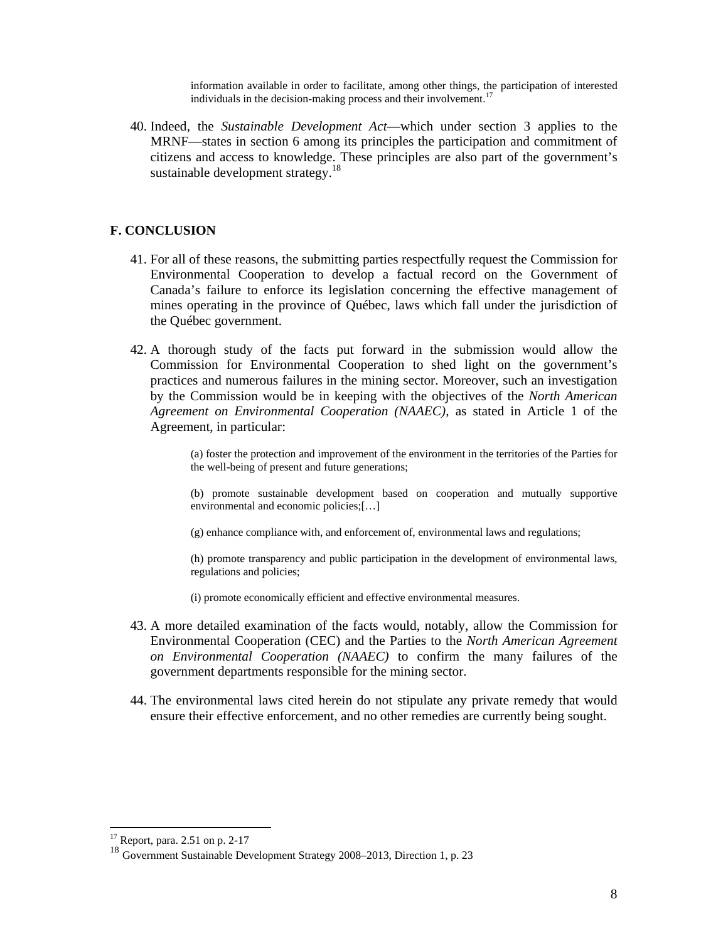information available in order to facilitate, among other things, the participation of interested individuals in the decision-making process and their involvement.<sup>17</sup>

40. Indeed, the *Sustainable Development Act*—which under section 3 applies to the MRNF—states in section 6 among its principles the participation and commitment of citizens and access to knowledge. These principles are also part of the government's sustainable development strategy.<sup>18</sup>

# **F. CONCLUSION**

- 41. For all of these reasons, the submitting parties respectfully request the Commission for Environmental Cooperation to develop a factual record on the Government of Canada's failure to enforce its legislation concerning the effective management of mines operating in the province of Québec, laws which fall under the jurisdiction of the Québec government.
- 42. A thorough study of the facts put forward in the submission would allow the Commission for Environmental Cooperation to shed light on the government's practices and numerous failures in the mining sector. Moreover, such an investigation by the Commission would be in keeping with the objectives of the *North American Agreement on Environmental Cooperation (NAAEC)*, as stated in Article 1 of the Agreement, in particular:

(a) foster the protection and improvement of the environment in the territories of the Parties for the well-being of present and future generations;

(b) promote sustainable development based on cooperation and mutually supportive environmental and economic policies;[…]

(g) enhance compliance with, and enforcement of, environmental laws and regulations;

(h) promote transparency and public participation in the development of environmental laws, regulations and policies;

(i) promote economically efficient and effective environmental measures.

- 43. A more detailed examination of the facts would, notably, allow the Commission for Environmental Cooperation (CEC) and the Parties to the *North American Agreement on Environmental Cooperation (NAAEC)* to confirm the many failures of the government departments responsible for the mining sector.
- 44. The environmental laws cited herein do not stipulate any private remedy that would ensure their effective enforcement, and no other remedies are currently being sought.

 $17$  Report, para. 2.51 on p. 2-17

<sup>18</sup> Government Sustainable Development Strategy 2008–2013, Direction 1, p. 23